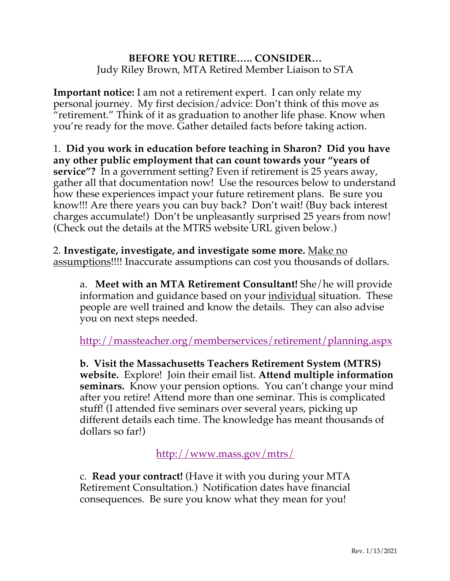## **BEFORE YOU RETIRE….. CONSIDER…** Judy Riley Brown, MTA Retired Member Liaison to STA

**Important notice:** I am not a retirement expert. I can only relate my personal journey. My first decision/advice: Don't think of this move as "retirement." Think of it as graduation to another life phase. Know when you're ready for the move. Gather detailed facts before taking action.

1. **Did you work in education before teaching in Sharon? Did you have any other public employment that can count towards your "years of service"?** In a government setting? Even if retirement is 25 years away, gather all that documentation now! Use the resources below to understand how these experiences impact your future retirement plans. Be sure you know!!! Are there years you can buy back? Don't wait! (Buy back interest charges accumulate!) Don't be unpleasantly surprised 25 years from now! (Check out the details at the MTRS website URL given below.)

2. **Investigate, investigate, and investigate some more.** Make no assumptions!!!! Inaccurate assumptions can cost you thousands of dollars.

a. **Meet with an MTA Retirement Consultant!** She/he will provide information and guidance based on your individual situation. These people are well trained and know the details. They can also advise you on next steps needed.

http://massteacher.org/memberservices/retirement/planning.aspx

**b. Visit the Massachusetts Teachers Retirement System (MTRS) website.** Explore! Join their email list. **Attend multiple information seminars.** Know your pension options. You can't change your mind after you retire! Attend more than one seminar. This is complicated stuff! (I attended five seminars over several years, picking up different details each time. The knowledge has meant thousands of dollars so far!)

http://www.mass.gov/mtrs/

c. **Read your contract!** (Have it with you during your MTA Retirement Consultation.) Notification dates have financial consequences. Be sure you know what they mean for you!